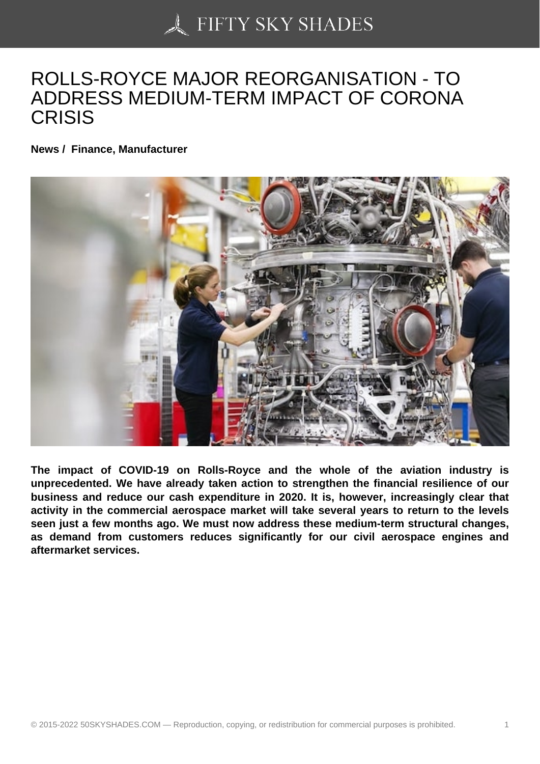## [ROLLS-ROYCE MAJO](https://50skyshades.com)R REORGANISATION - TO ADDRESS MEDIUM-TERM IMPACT OF CORONA **CRISIS**

News / Finance, Manufacturer

The impact of COVID-19 on Rolls-Royce and the whole of the aviation industry is unprecedented. We have already taken action to strengthen the financial resilience of our business and reduce our cash expenditure in 2020. It is, however, increasingly clear that activity in the commercial aerospace market will take several years to return to the levels seen just a few months ago. We must now address these medium-term structural changes, as demand from customers reduces significantly for our civil aerospace engines and aftermarket services.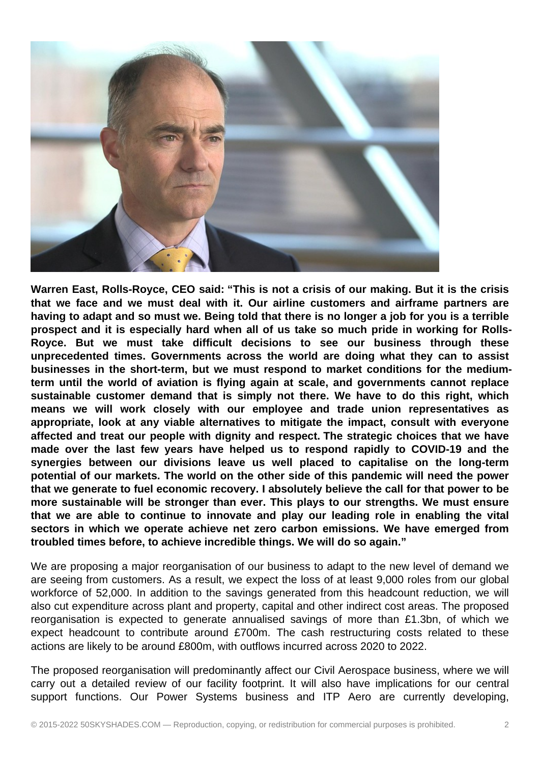

**Warren East, Rolls-Royce, CEO said: "This is not a crisis of our making. But it is the crisis that we face and we must deal with it. Our airline customers and airframe partners are having to adapt and so must we. Being told that there is no longer a job for you is a terrible prospect and it is especially hard when all of us take so much pride in working for Rolls-Royce. But we must take difficult decisions to see our business through these unprecedented times. Governments across the world are doing what they can to assist businesses in the short-term, but we must respond to market conditions for the mediumterm until the world of aviation is flying again at scale, and governments cannot replace sustainable customer demand that is simply not there. We have to do this right, which means we will work closely with our employee and trade union representatives as appropriate, look at any viable alternatives to mitigate the impact, consult with everyone affected and treat our people with dignity and respect. The strategic choices that we have made over the last few years have helped us to respond rapidly to COVID-19 and the synergies between our divisions leave us well placed to capitalise on the long-term potential of our markets. The world on the other side of this pandemic will need the power that we generate to fuel economic recovery. I absolutely believe the call for that power to be more sustainable will be stronger than ever. This plays to our strengths. We must ensure that we are able to continue to innovate and play our leading role in enabling the vital sectors in which we operate achieve net zero carbon emissions. We have emerged from troubled times before, to achieve incredible things. We will do so again."**

We are proposing a major reorganisation of our business to adapt to the new level of demand we are seeing from customers. As a result, we expect the loss of at least 9,000 roles from our global workforce of 52,000. In addition to the savings generated from this headcount reduction, we will also cut expenditure across plant and property, capital and other indirect cost areas. The proposed reorganisation is expected to generate annualised savings of more than £1.3bn, of which we expect headcount to contribute around £700m. The cash restructuring costs related to these actions are likely to be around £800m, with outflows incurred across 2020 to 2022.

The proposed reorganisation will predominantly affect our Civil Aerospace business, where we will carry out a detailed review of our facility footprint. It will also have implications for our central support functions. Our Power Systems business and ITP Aero are currently developing,